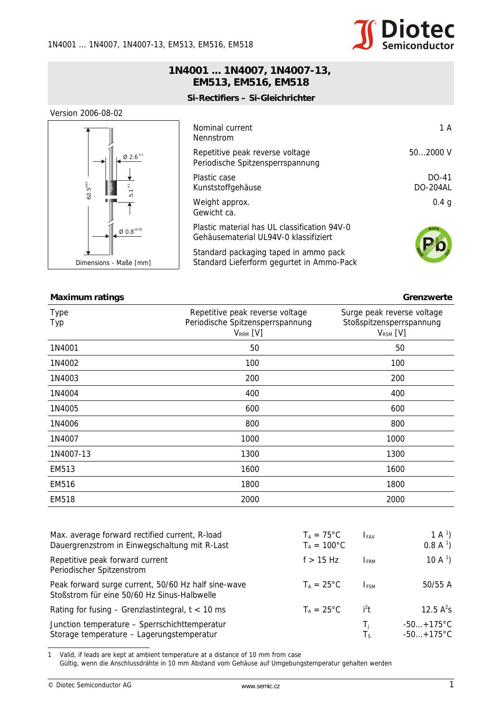## **1N4001 ... 1N4007, 1N4007-13, EM513, EM516, EM518**

**Si-Rectifiers – Si-Gleichrichter**

## Version 2006-08-02



| Nominal current<br>Nennstrom                                                          | 1 A                        |
|---------------------------------------------------------------------------------------|----------------------------|
| Repetitive peak reverse voltage<br>Periodische Spitzensperrspannung                   | $502000 \text{ V}$         |
| Plastic case<br>Kunststoffgehäuse                                                     | $DO-41$<br><b>DO-204AL</b> |
| Weight approx.<br>Gewicht ca.                                                         | 0.4 <sub>q</sub>           |
| Plastic material has UL classification 94V-0<br>Gehäusematerial UL94V-0 klassifiziert | <b>RoHS</b>                |
| Standard packaging taped in ammo pack<br>Standard Lieferform gegurtet in Ammo-Pack    |                            |

| $62.5^{+0}$<br>$5.1 - {}^{0.1}$                                                                                                                                                                           | Kunststoffgehäuse                                                                     |                                             |                      | <b>DO-204AL</b>                           |  |
|-----------------------------------------------------------------------------------------------------------------------------------------------------------------------------------------------------------|---------------------------------------------------------------------------------------|---------------------------------------------|----------------------|-------------------------------------------|--|
|                                                                                                                                                                                                           | Weight approx.<br>Gewicht ca.                                                         |                                             |                      | 0.4 <sub>g</sub>                          |  |
| $\emptyset$ 0.8 $^{\scriptscriptstyle \pm 0.05}$                                                                                                                                                          | Plastic material has UL classification 94V-0<br>Gehäusematerial UL94V-0 klassifiziert |                                             |                      |                                           |  |
| Dimensions - Maße [mm]                                                                                                                                                                                    | Standard packaging taped in ammo pack<br>Standard Lieferform gegurtet in Ammo-Pack    |                                             |                      |                                           |  |
|                                                                                                                                                                                                           |                                                                                       |                                             |                      |                                           |  |
| <b>Maximum ratings</b>                                                                                                                                                                                    |                                                                                       |                                             |                      | Grenzwerte                                |  |
| <b>Type</b>                                                                                                                                                                                               | Repetitive peak reverse voltage                                                       |                                             |                      | Surge peak reverse voltage                |  |
| Typ                                                                                                                                                                                                       | Periodische Spitzensperrspannung<br>$V_{RRM}$ [V]                                     |                                             |                      | Stoßspitzensperrspannung<br>$V_{RSM}$ [V] |  |
| 1N4001                                                                                                                                                                                                    | 50                                                                                    |                                             |                      | 50                                        |  |
| 1N4002                                                                                                                                                                                                    | 100                                                                                   |                                             |                      | 100                                       |  |
| 1N4003                                                                                                                                                                                                    | 200                                                                                   |                                             | 200                  |                                           |  |
| 1N4004                                                                                                                                                                                                    | 400                                                                                   |                                             | 400                  |                                           |  |
| 1N4005                                                                                                                                                                                                    | 600                                                                                   |                                             | 600                  |                                           |  |
| 1N4006                                                                                                                                                                                                    | 800                                                                                   |                                             |                      | 800                                       |  |
| 1N4007                                                                                                                                                                                                    | 1000                                                                                  |                                             | 1000                 |                                           |  |
| 1N4007-13                                                                                                                                                                                                 | 1300                                                                                  |                                             | 1300                 |                                           |  |
| EM513                                                                                                                                                                                                     | 1600                                                                                  |                                             |                      | 1600                                      |  |
| <b>EM516</b>                                                                                                                                                                                              | 1800                                                                                  |                                             | 1800                 |                                           |  |
| <b>EM518</b>                                                                                                                                                                                              | 2000                                                                                  |                                             | 2000                 |                                           |  |
|                                                                                                                                                                                                           |                                                                                       |                                             |                      |                                           |  |
| Max. average forward rectified current, R-load<br>Dauergrenzstrom in Einwegschaltung mit R-Last                                                                                                           |                                                                                       | $T_A = 75^{\circ}C$<br>$T_A = 100^{\circ}C$ | <b>IFAV</b>          | 1 A $^{1}$ )<br>$0.8 A^1$                 |  |
| Repetitive peak forward current<br>Periodischer Spitzenstrom                                                                                                                                              |                                                                                       | $f > 15$ Hz                                 | <b>IFRM</b>          | 10 A $\frac{1}{2}$                        |  |
| Peak forward surge current, 50/60 Hz half sine-wave<br>Stoßstrom für eine 50/60 Hz Sinus-Halbwelle                                                                                                        |                                                                                       | $T_A = 25^{\circ}C$                         | $I_{FSM}$            | 50/55 A                                   |  |
| Rating for fusing $-$ Grenzlastintegral, $t < 10$ ms                                                                                                                                                      |                                                                                       | $T_A = 25^{\circ}C$                         | $i^2t$               | 12.5 $A^2S$                               |  |
| Junction temperature - Sperrschichttemperatur<br>Storage temperature - Lagerungstemperatur                                                                                                                |                                                                                       |                                             | $T_{\rm i}$<br>$T_S$ | $-50+175^{\circ}C$<br>$-50+175^{\circ}C$  |  |
| Valid, if leads are kept at ambient temperature at a distance of 10 mm from case<br>$\mathbf{1}$<br>Gültig, wenn die Anschlussdrähte in 10 mm Abstand vom Gehäuse auf Umgebungstemperatur gehalten werden |                                                                                       |                                             |                      |                                           |  |
| © Diotec Semiconductor AG                                                                                                                                                                                 | www.semic.cz                                                                          |                                             |                      | 1                                         |  |

| Max. average forward rectified current, R-load<br>Dauergrenzstrom in Einwegschaltung mit R-Last    | $T_A = 75^{\circ}C$<br>$T_A = 100^{\circ}C$ | <b>IFAV</b>       | 1 A $^{1}$ )<br>$0.8 A^1$          |
|----------------------------------------------------------------------------------------------------|---------------------------------------------|-------------------|------------------------------------|
| Repetitive peak forward current<br>Periodischer Spitzenstrom                                       | $f > 15$ Hz                                 | <b>IFRM</b>       | 10 A $^{1}$ )                      |
| Peak forward surge current, 50/60 Hz half sine-wave<br>Stoßstrom für eine 50/60 Hz Sinus-Halbwelle | $T_A = 25^{\circ}C$                         | <b>IFSM</b>       | 50/55 A                            |
| Rating for fusing $-$ Grenzlastintegral, $t < 10$ ms                                               | $T_A = 25^{\circ}C$                         | $i^2t$            | 12.5 $A^2S$                        |
| Junction temperature - Sperrschichttemperatur<br>Storage temperature - Lagerungstemperatur         |                                             | T,<br>$T_{\rm S}$ | $-50+175$ °C<br>$-50+175^{\circ}C$ |